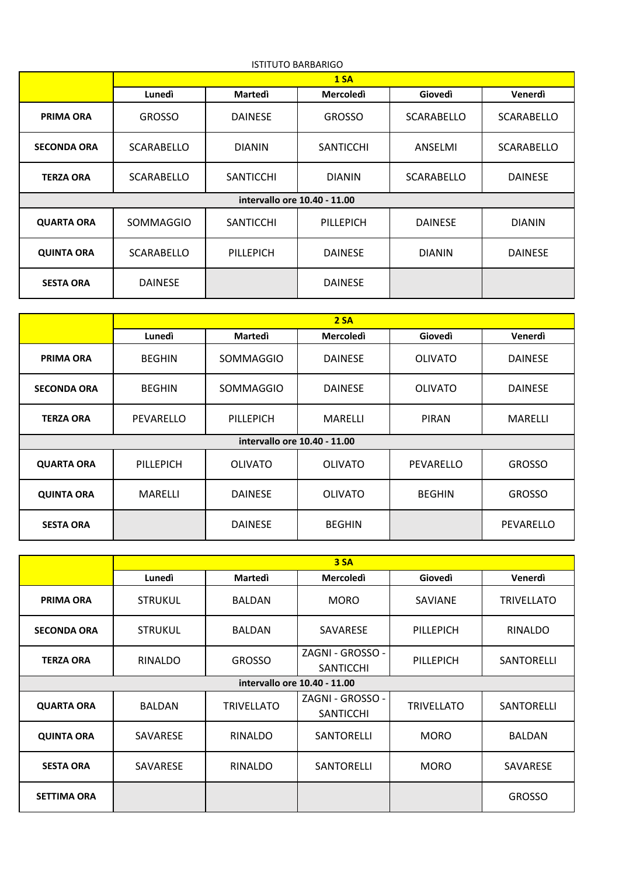| <b>ISTITUTO BARBARIGO</b>    |                   |                  |                  |                   |                   |  |
|------------------------------|-------------------|------------------|------------------|-------------------|-------------------|--|
|                              | 1 S <sub>A</sub>  |                  |                  |                   |                   |  |
|                              | Lunedì            | Martedì          | <b>Mercoledì</b> | <b>Giovedì</b>    | Venerdì           |  |
| <b>PRIMA ORA</b>             | <b>GROSSO</b>     | <b>DAINESE</b>   | <b>GROSSO</b>    | <b>SCARABELLO</b> | <b>SCARABELLO</b> |  |
| <b>SECONDA ORA</b>           | <b>SCARABELLO</b> | <b>DIANIN</b>    | <b>SANTICCHI</b> | ANSELMI           | <b>SCARABELLO</b> |  |
| <b>TERZA ORA</b>             | <b>SCARABELLO</b> | <b>SANTICCHI</b> | <b>DIANIN</b>    | <b>SCARABELLO</b> | <b>DAINESE</b>    |  |
| intervallo ore 10.40 - 11.00 |                   |                  |                  |                   |                   |  |
| <b>QUARTA ORA</b>            | <b>SOMMAGGIO</b>  | <b>SANTICCHI</b> | PILLEPICH        | <b>DAINESE</b>    | <b>DIANIN</b>     |  |
| <b>QUINTA ORA</b>            | <b>SCARABELLO</b> | PILLEPICH        | <b>DAINESE</b>   | <b>DIANIN</b>     | <b>DAINESE</b>    |  |
| <b>SESTA ORA</b>             | <b>DAINESE</b>    |                  | <b>DAINESE</b>   |                   |                   |  |

|                              | 2S <sub>A</sub> |                |                  |                |                |  |
|------------------------------|-----------------|----------------|------------------|----------------|----------------|--|
|                              | Lunedì          | <b>Martedi</b> | <b>Mercoledì</b> | Giovedì        | Venerdì        |  |
| <b>PRIMA ORA</b>             | <b>BEGHIN</b>   | SOMMAGGIO      | <b>DAINESE</b>   | <b>OLIVATO</b> | <b>DAINESE</b> |  |
| <b>SECONDA ORA</b>           | <b>BEGHIN</b>   | SOMMAGGIO      | <b>DAINESE</b>   | <b>OLIVATO</b> | <b>DAINESE</b> |  |
| <b>TERZA ORA</b>             | PEVARELLO       | PILLEPICH      | <b>MARELLI</b>   | <b>PIRAN</b>   | <b>MARELLI</b> |  |
| intervallo ore 10.40 - 11.00 |                 |                |                  |                |                |  |
| <b>QUARTA ORA</b>            | PILLEPICH       | <b>OLIVATO</b> | <b>OLIVATO</b>   | PEVARELLO      | <b>GROSSO</b>  |  |
| <b>QUINTA ORA</b>            | MARELLI         | <b>DAINESE</b> | <b>OLIVATO</b>   | <b>BEGHIN</b>  | <b>GROSSO</b>  |  |
| <b>SESTA ORA</b>             |                 | <b>DAINESE</b> | <b>BEGHIN</b>    |                | PEVARELLO      |  |

|                              | 3 S <sub>A</sub> |                   |                                      |                   |                   |  |
|------------------------------|------------------|-------------------|--------------------------------------|-------------------|-------------------|--|
|                              | Lunedì           | <b>Martedi</b>    | <b>Mercoledì</b>                     | Giovedì           | Venerdì           |  |
| <b>PRIMA ORA</b>             | <b>STRUKUL</b>   | <b>BALDAN</b>     | <b>MORO</b>                          | SAVIANE           | <b>TRIVELLATO</b> |  |
| <b>SECONDA ORA</b>           | <b>STRUKUL</b>   | <b>BALDAN</b>     | SAVARESE                             | PILLEPICH         | RINALDO           |  |
| <b>TERZA ORA</b>             | <b>RINALDO</b>   | <b>GROSSO</b>     | ZAGNI - GROSSO -<br><b>SANTICCHI</b> | PILLEPICH         | SANTORELLI        |  |
| intervallo ore 10.40 - 11.00 |                  |                   |                                      |                   |                   |  |
| <b>QUARTA ORA</b>            | <b>BALDAN</b>    | <b>TRIVELLATO</b> | ZAGNI - GROSSO -<br><b>SANTICCHI</b> | <b>TRIVELLATO</b> | SANTORELLI        |  |
| <b>QUINTA ORA</b>            | SAVARESE         | RINALDO           | SANTORELLI                           | <b>MORO</b>       | <b>BALDAN</b>     |  |
| <b>SESTA ORA</b>             | SAVARESE         | <b>RINALDO</b>    | SANTORELLI                           | <b>MORO</b>       | SAVARESE          |  |
| <b>SETTIMA ORA</b>           |                  |                   |                                      |                   | <b>GROSSO</b>     |  |